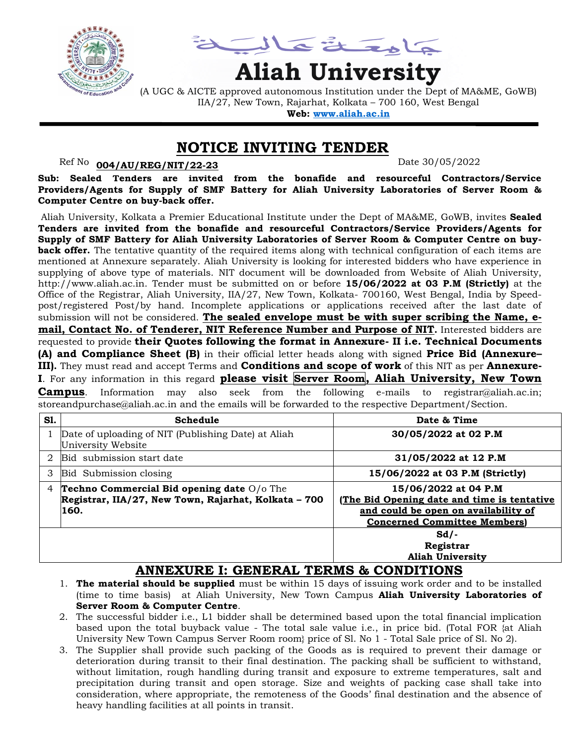

حمامة تقافيه

# **Aliah University**

(A UGC & AICTE approved autonomous Institution under the Dept of MA&ME, GoWB) IIA/27, New Town, Rajarhat, Kolkata – 700 160, West Bengal

**Web: [www.aliah.ac.in](http://www.aliah.ac.in/)**

## **NOTICE INVITING TENDER**

### Ref No: <u>004/AU/REG/NIT/22-23</u> Date 30/05/2022

**Sub: Sealed Tenders are invited from the bonafide and resourceful Contractors/Service Providers/Agents for Supply of SMF Battery for Aliah University Laboratories of Server Room & Computer Centre on buy-back offer.**

Aliah University, Kolkata a Premier Educational Institute under the Dept of MA&ME, GoWB, invites **Sealed Tenders are invited from the bonafide and resourceful Contractors/Service Providers/Agents for Supply of SMF Battery for Aliah University Laboratories of Server Room & Computer Centre on buyback offer.** The tentative quantity of the required items along with technical configuration of each items are mentioned at Annexure separately. Aliah University is looking for interested bidders who have experience in supplying of above type of materials. NIT document will be downloaded from Website of Aliah University, http://www.aliah.ac.in. Tender must be submitted on or before **15/06/2022 at 03 P.M (Strictly)** at the Office of the Registrar, Aliah University, IIA/27, New Town, Kolkata- 700160, West Bengal, India by Speedpost/registered Post/by hand. Incomplete applications or applications received after the last date of submission will not be considered. **The sealed envelope must be with super scribing the Name, email, Contact No. of Tenderer, NIT Reference Number and Purpose of NIT.** Interested bidders are requested to provide **their Quotes following the format in Annexure- II i.e. Technical Documents (A) and Compliance Sheet (B)** in their official letter heads along with signed **Price Bid (Annexure– III).** They must read and accept Terms and **Conditions and scope of work** of this NIT as per **Annexure-I**. For any information in this regard **please visit Server Room, Aliah University, New Town** 

**Campus**. Information may also seek from the following e-mails to registrar@aliah.ac.in; storeandpurchase@aliah.ac.in and the emails will be forwarded to the respective Department/Section.

| <b>S1.</b>     | Schedule                                                                                                   | Date & Time                                                                                                                                        |
|----------------|------------------------------------------------------------------------------------------------------------|----------------------------------------------------------------------------------------------------------------------------------------------------|
|                | Date of uploading of NIT (Publishing Date) at Aliah<br>University Website                                  | 30/05/2022 at 02 P.M                                                                                                                               |
| 2              | Bid submission start date                                                                                  | 31/05/2022 at 12 P.M                                                                                                                               |
| 3              | Bid Submission closing                                                                                     | 15/06/2022 at 03 P.M (Strictly)                                                                                                                    |
| $\overline{4}$ | Techno Commercial Bid opening date O/o The<br>Registrar, IIA/27, New Town, Rajarhat, Kolkata - 700<br>160. | 15/06/2022 at 04 P.M<br>(The Bid Opening date and time is tentative<br>and could be open on availability of<br><b>Concerned Committee Members)</b> |
|                |                                                                                                            | $Sd/-$<br>Registrar<br><b>Aliah University</b>                                                                                                     |

# **ANNEXURE I: GENERAL TERMS & CONDITIONS**

- 1. **The material should be supplied** must be within 15 days of issuing work order and to be installed (time to time basis) at Aliah University, New Town Campus **Aliah University Laboratories of Server Room & Computer Centre**.
- 2. The successful bidder i.e., L1 bidder shall be determined based upon the total financial implication based upon the total buyback value - The total sale value i.e., in price bid. (Total FOR {at Aliah University New Town Campus Server Room room} price of Sl. No 1 - Total Sale price of Sl. No 2).
- 3. The Supplier shall provide such packing of the Goods as is required to prevent their damage or deterioration during transit to their final destination. The packing shall be sufficient to withstand, without limitation, rough handling during transit and exposure to extreme temperatures, salt and precipitation during transit and open storage. Size and weights of packing case shall take into consideration, where appropriate, the remoteness of the Goods' final destination and the absence of heavy handling facilities at all points in transit.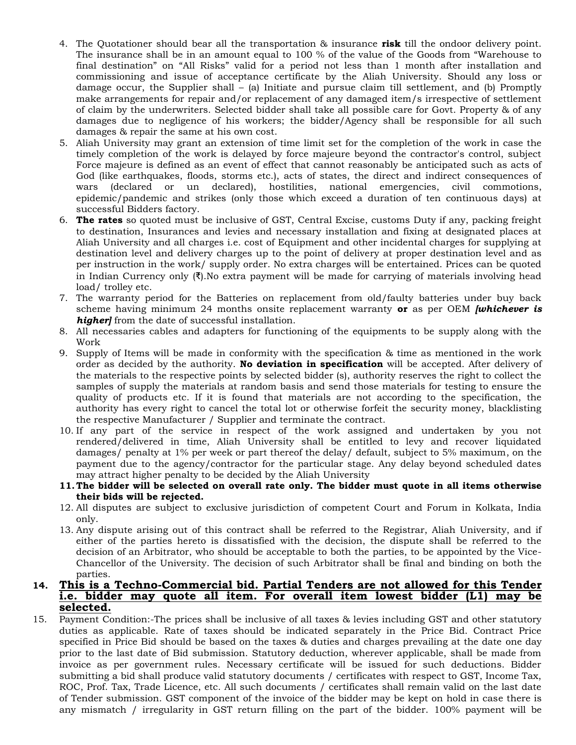- 4. The Quotationer should bear all the transportation & insurance **risk** till the ondoor delivery point. The insurance shall be in an amount equal to 100 % of the value of the Goods from "Warehouse to final destination" on "All Risks" valid for a period not less than 1 month after installation and commissioning and issue of acceptance certificate by the Aliah University. Should any loss or damage occur, the Supplier shall – (a) Initiate and pursue claim till settlement, and (b) Promptly make arrangements for repair and/or replacement of any damaged item/s irrespective of settlement of claim by the underwriters. Selected bidder shall take all possible care for Govt. Property & of any damages due to negligence of his workers; the bidder/Agency shall be responsible for all such damages & repair the same at his own cost.
- 5. Aliah University may grant an extension of time limit set for the completion of the work in case the timely completion of the work is delayed by force majeure beyond the contractor's control, subject Force majeure is defined as an event of effect that cannot reasonably be anticipated such as acts of God (like earthquakes, floods, storms etc.), acts of states, the direct and indirect consequences of wars (declared or un declared), hostilities, national emergencies, civil commotions, epidemic/pandemic and strikes (only those which exceed a duration of ten continuous days) at successful Bidders factory.
- 6. **The rates** so quoted must be inclusive of GST, Central Excise, customs Duty if any, packing freight to destination, Insurances and levies and necessary installation and fixing at designated places at Aliah University and all charges i.e. cost of Equipment and other incidental charges for supplying at destination level and delivery charges up to the point of delivery at proper destination level and as per instruction in the work/ supply order. No extra charges will be entertained. Prices can be quoted in Indian Currency only  $(\bar{\mathbf{x}})$ . No extra payment will be made for carrying of materials involving head load/ trolley etc.
- 7. The warranty period for the Batteries on replacement from old/faulty batteries under buy back scheme having minimum 24 months onsite replacement warranty **or** as per OEM *[whichever is higher]* from the date of successful installation.
- 8. All necessaries cables and adapters for functioning of the equipments to be supply along with the Work
- 9. Supply of Items will be made in conformity with the specification & time as mentioned in the work order as decided by the authority. **No deviation in specification** will be accepted. After delivery of the materials to the respective points by selected bidder (s), authority reserves the right to collect the samples of supply the materials at random basis and send those materials for testing to ensure the quality of products etc. If it is found that materials are not according to the specification, the authority has every right to cancel the total lot or otherwise forfeit the security money, blacklisting the respective Manufacturer / Supplier and terminate the contract.
- 10. If any part of the service in respect of the work assigned and undertaken by you not rendered/delivered in time, Aliah University shall be entitled to levy and recover liquidated damages/ penalty at 1% per week or part thereof the delay/ default, subject to 5% maximum, on the payment due to the agency/contractor for the particular stage. Any delay beyond scheduled dates may attract higher penalty to be decided by the Aliah University
- **11. The bidder will be selected on overall rate only. The bidder must quote in all items otherwise their bids will be rejected.**
- 12. All disputes are subject to exclusive jurisdiction of competent Court and Forum in Kolkata, India only.
- 13. Any dispute arising out of this contract shall be referred to the Registrar, Aliah University, and if either of the parties hereto is dissatisfied with the decision, the dispute shall be referred to the decision of an Arbitrator, who should be acceptable to both the parties, to be appointed by the Vice-Chancellor of the University. The decision of such Arbitrator shall be final and binding on both the parties.

#### **14. This is a Techno-Commercial bid. Partial Tenders are not allowed for this Tender i.e. bidder may quote all item. For overall item lowest bidder (L1) may be selected.**

15. Payment Condition:-The prices shall be inclusive of all taxes & levies including GST and other statutory duties as applicable. Rate of taxes should be indicated separately in the Price Bid. Contract Price specified in Price Bid should be based on the taxes & duties and charges prevailing at the date one day prior to the last date of Bid submission. Statutory deduction, wherever applicable, shall be made from invoice as per government rules. Necessary certificate will be issued for such deductions. Bidder submitting a bid shall produce valid statutory documents / certificates with respect to GST, Income Tax, ROC, Prof. Tax, Trade Licence, etc. All such documents / certificates shall remain valid on the last date of Tender submission. GST component of the invoice of the bidder may be kept on hold in case there is any mismatch / irregularity in GST return filling on the part of the bidder. 100% payment will be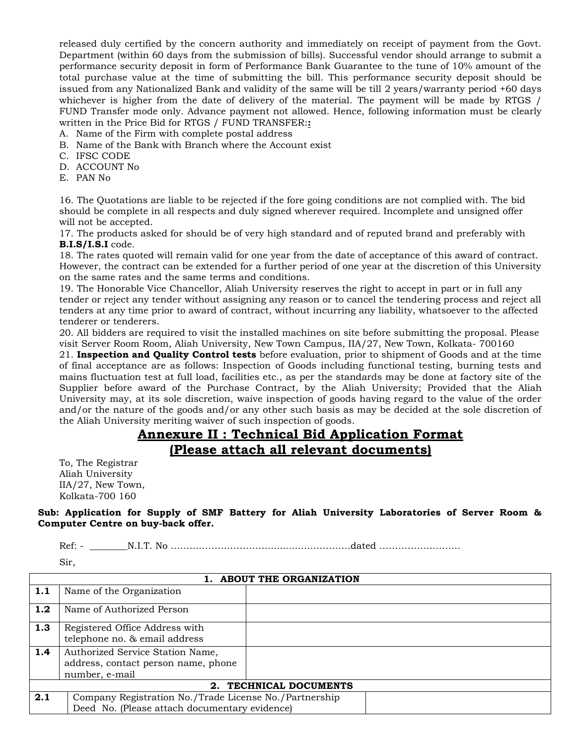released duly certified by the concern authority and immediately on receipt of payment from the Govt. Department (within 60 days from the submission of bills). Successful vendor should arrange to submit a performance security deposit in form of Performance Bank Guarantee to the tune of 10% amount of the total purchase value at the time of submitting the bill. This performance security deposit should be issued from any Nationalized Bank and validity of the same will be till 2 years/warranty period +60 days whichever is higher from the date of delivery of the material. The payment will be made by RTGS / FUND Transfer mode only. Advance payment not allowed. Hence, following information must be clearly written in the Price Bid for RTGS / FUND TRANSFER:**:**

- A. Name of the Firm with complete postal address
- B. Name of the Bank with Branch where the Account exist
- C. IFSC CODE
- D. ACCOUNT No
- E. PAN No

16. The Quotations are liable to be rejected if the fore going conditions are not complied with. The bid should be complete in all respects and duly signed wherever required. Incomplete and unsigned offer will not be accepted.

17. The products asked for should be of very high standard and of reputed brand and preferably with **B.I.S/I.S.I** code.

18. The rates quoted will remain valid for one year from the date of acceptance of this award of contract. However, the contract can be extended for a further period of one year at the discretion of this University on the same rates and the same terms and conditions.

19. The Honorable Vice Chancellor, Aliah University reserves the right to accept in part or in full any tender or reject any tender without assigning any reason or to cancel the tendering process and reject all tenders at any time prior to award of contract, without incurring any liability, whatsoever to the affected tenderer or tenderers.

20. All bidders are required to visit the installed machines on site before submitting the proposal. Please visit Server Room Room, Aliah University, New Town Campus, IIA/27, New Town, Kolkata- 700160

21. **Inspection and Quality Control tests** before evaluation, prior to shipment of Goods and at the time of final acceptance are as follows: Inspection of Goods including functional testing, burning tests and mains fluctuation test at full load, facilities etc., as per the standards may be done at factory site of the Supplier before award of the Purchase Contract, by the Aliah University; Provided that the Aliah University may, at its sole discretion, waive inspection of goods having regard to the value of the order and/or the nature of the goods and/or any other such basis as may be decided at the sole discretion of the Aliah University meriting waiver of such inspection of goods.

# **Annexure II : Technical Bid Application Format (Please attach all relevant documents)**

To, The Registrar Aliah University IIA/27, New Town, Kolkata-700 160

**Sub: Application for Supply of SMF Battery for Aliah University Laboratories of Server Room & Computer Centre on buy-back offer.**

Ref: - \_\_\_\_\_\_\_\_N.I.T. No ………………………….............……………dated ……………………..

Sir,

| 1. ABOUT THE ORGANIZATION          |                                                        |  |  |
|------------------------------------|--------------------------------------------------------|--|--|
| 1.1                                | Name of the Organization                               |  |  |
| 1.2                                | Name of Authorized Person                              |  |  |
| 1.3                                | Registered Office Address with                         |  |  |
|                                    | telephone no. & email address                          |  |  |
| 1.4                                | Authorized Service Station Name,                       |  |  |
|                                    | address, contact person name, phone                    |  |  |
|                                    | number, e-mail                                         |  |  |
| TECHNICAL DOCUMENTS<br>$2_{\cdot}$ |                                                        |  |  |
| 2.1                                | Company Registration No./Trade License No./Partnership |  |  |
|                                    | Deed No. (Please attach documentary evidence)          |  |  |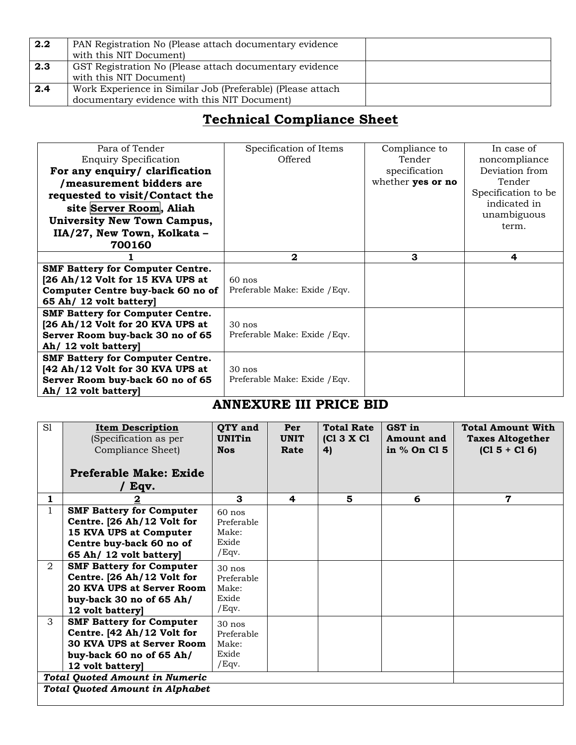| 2.2 | PAN Registration No (Please attach documentary evidence)<br>with this NIT Document)                        |
|-----|------------------------------------------------------------------------------------------------------------|
| 2.3 | GST Registration No (Please attach documentary evidence<br>with this NIT Document)                         |
| 2.4 | Work Experience in Similar Job (Preferable) (Please attach<br>documentary evidence with this NIT Document) |

# **Technical Compliance Sheet**

| Para of Tender<br><b>Enquiry Specification</b><br>For any enquiry/ clarification<br>/measurement bidders are<br>requested to visit/Contact the<br>site Server Room, Aliah<br><b>University New Town Campus,</b><br>IIA/27, New Town, Kolkata -<br>700160 | Specification of Items<br>Offered         | Compliance to<br>Tender<br>specification<br>whether yes or no | In case of<br>noncompliance<br>Deviation from<br>Tender<br>Specification to be<br>indicated in<br>unambiguous<br>term. |
|----------------------------------------------------------------------------------------------------------------------------------------------------------------------------------------------------------------------------------------------------------|-------------------------------------------|---------------------------------------------------------------|------------------------------------------------------------------------------------------------------------------------|
|                                                                                                                                                                                                                                                          | $\mathbf{2}$                              | 3                                                             | 4                                                                                                                      |
| <b>SMF Battery for Computer Centre.</b><br>[26 Ah/12 Volt for 15 KVA UPS at<br>Computer Centre buy-back 60 no of<br>65 Ah/ 12 volt battery                                                                                                               | $60$ nos<br>Preferable Make: Exide / Eqv. |                                                               |                                                                                                                        |
| <b>SMF Battery for Computer Centre.</b><br>[26 Ah/12 Volt for 20 KVA UPS at<br>Server Room buy-back 30 no of 65<br>Ah/ 12 volt battery                                                                                                                   | $30$ nos<br>Preferable Make: Exide / Eqv. |                                                               |                                                                                                                        |
| <b>SMF Battery for Computer Centre.</b><br>[42 Ah/12 Volt for 30 KVA UPS at<br>Server Room buy-back 60 no of 65<br>Ah/ 12 volt battery                                                                                                                   | $30$ nos<br>Preferable Make: Exide / Eqv. |                                                               |                                                                                                                        |

# **ANNEXURE III PRICE BID**

| S1                                    | <b>Item Description</b><br>(Specification as per<br>Compliance Sheet)<br>Preferable Make: Exide | <b>QTY</b> and<br><b>UNITin</b><br><b>Nos</b> | Per<br><b>UNIT</b><br>Rate | <b>Total Rate</b><br>[CI 3 X CI]<br>4) | GST in<br><b>Amount</b> and<br>in % On Cl 5 | <b>Total Amount With</b><br><b>Taxes Altogether</b><br>$(C1 5 + C1 6)$ |
|---------------------------------------|-------------------------------------------------------------------------------------------------|-----------------------------------------------|----------------------------|----------------------------------------|---------------------------------------------|------------------------------------------------------------------------|
|                                       | Eqv.                                                                                            |                                               |                            |                                        |                                             |                                                                        |
| 1                                     |                                                                                                 | 3                                             | 4                          | 5                                      | 6                                           | 7                                                                      |
|                                       | <b>SMF Battery for Computer</b>                                                                 | $60$ nos                                      |                            |                                        |                                             |                                                                        |
|                                       | Centre. [26 Ah/12 Volt for                                                                      | Preferable                                    |                            |                                        |                                             |                                                                        |
|                                       | 15 KVA UPS at Computer                                                                          | Make:                                         |                            |                                        |                                             |                                                                        |
|                                       | Centre buy-back 60 no of                                                                        | Exide                                         |                            |                                        |                                             |                                                                        |
|                                       | 65 Ah/ 12 volt battery                                                                          | $/$ Eqv.                                      |                            |                                        |                                             |                                                                        |
| 2                                     | <b>SMF Battery for Computer</b>                                                                 | $30$ nos                                      |                            |                                        |                                             |                                                                        |
|                                       | Centre. [26 Ah/12 Volt for                                                                      | Preferable                                    |                            |                                        |                                             |                                                                        |
|                                       | 20 KVA UPS at Server Room                                                                       | Make:                                         |                            |                                        |                                             |                                                                        |
|                                       | buy-back 30 no of 65 Ah/                                                                        | Exide                                         |                            |                                        |                                             |                                                                        |
|                                       | 12 volt battery]                                                                                | $/$ Eqv.                                      |                            |                                        |                                             |                                                                        |
| 3                                     | <b>SMF Battery for Computer</b>                                                                 | $30$ nos                                      |                            |                                        |                                             |                                                                        |
|                                       | Centre. [42 Ah/12 Volt for                                                                      | Preferable                                    |                            |                                        |                                             |                                                                        |
|                                       | 30 KVA UPS at Server Room                                                                       | Make:                                         |                            |                                        |                                             |                                                                        |
|                                       | buy-back 60 no of 65 Ah/                                                                        | Exide                                         |                            |                                        |                                             |                                                                        |
|                                       | $/$ Eqv.<br>12 volt battery]                                                                    |                                               |                            |                                        |                                             |                                                                        |
| <b>Total Quoted Amount in Numeric</b> |                                                                                                 |                                               |                            |                                        |                                             |                                                                        |
|                                       | <b>Total Quoted Amount in Alphabet</b>                                                          |                                               |                            |                                        |                                             |                                                                        |
|                                       |                                                                                                 |                                               |                            |                                        |                                             |                                                                        |